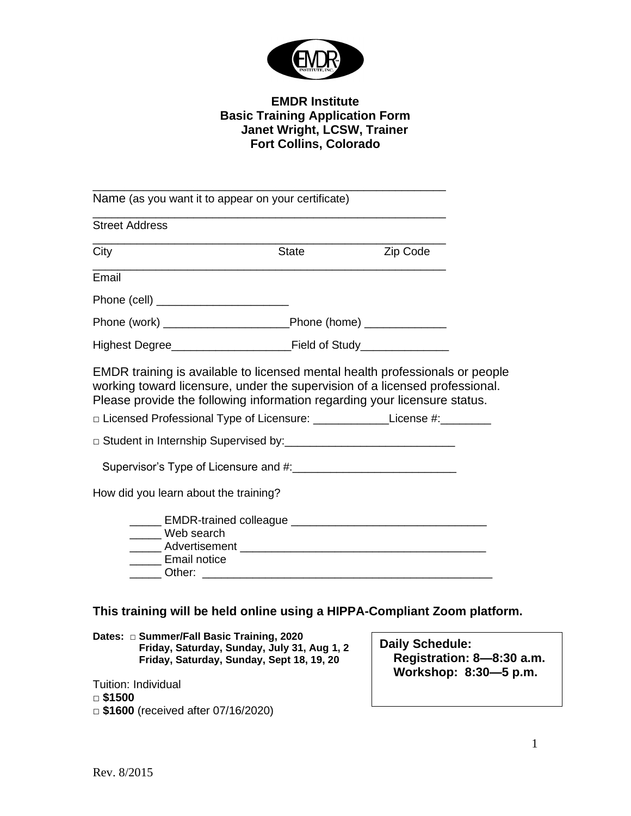

## **EMDR Institute Basic Training Application Form Janet Wright, LCSW, Trainer Fort Collins, Colorado**

\_\_\_\_\_\_\_\_\_\_\_\_\_\_\_\_\_\_\_\_\_\_\_\_\_\_\_\_\_\_\_\_\_\_\_\_\_\_\_\_\_\_\_\_\_\_\_\_\_\_\_\_\_\_\_\_ Name (as you want it to appear on your certificate) \_\_\_\_\_\_\_\_\_\_\_\_\_\_\_\_\_\_\_\_\_\_\_\_\_\_\_\_\_\_\_\_\_\_\_\_\_\_\_\_\_\_\_\_\_\_\_\_\_\_\_\_\_\_\_\_ Street Address \_\_\_\_\_\_\_\_\_\_\_\_\_\_\_\_\_\_\_\_\_\_\_\_\_\_\_\_\_\_\_\_\_\_\_\_\_\_\_\_\_\_\_\_\_\_\_\_\_\_\_\_\_\_\_\_ City **State City** State **Zip Code** \_\_\_\_\_\_\_\_\_\_\_\_\_\_\_\_\_\_\_\_\_\_\_\_\_\_\_\_\_\_\_\_\_\_\_\_\_\_\_\_\_\_\_\_\_\_\_\_\_\_\_\_\_\_\_\_ Email Phone (cell) \_\_\_\_\_\_\_\_\_\_\_\_\_\_\_\_\_\_\_\_\_ Phone (work) \_\_\_\_\_\_\_\_\_\_\_\_\_\_\_\_\_\_\_\_Phone (home) \_\_\_\_\_\_\_\_\_\_\_\_\_ Highest Degree\_\_\_\_\_\_\_\_\_\_\_\_\_\_\_\_\_\_\_Field of Study\_\_\_\_\_\_\_\_\_\_\_\_\_\_ EMDR training is available to licensed mental health professionals or people working toward licensure, under the supervision of a licensed professional. Please provide the following information regarding your licensure status. □ Licensed Professional Type of Licensure: \_\_\_\_\_\_\_\_\_\_\_\_\_\_\_License #:\_\_\_\_\_\_\_\_\_ □ Student in Internship Supervised by:\_\_\_\_\_\_\_\_\_\_\_\_\_\_\_\_\_\_\_\_\_\_\_\_\_\_\_ Supervisor's Type of Licensure and #:\_\_\_\_\_\_\_\_\_\_\_\_\_\_\_\_\_\_\_\_\_\_\_\_\_\_ How did you learn about the training? \_\_\_\_\_ EMDR-trained colleague \_\_\_\_\_\_\_\_\_\_\_\_\_\_\_\_\_\_\_\_\_\_\_\_\_\_\_\_\_\_\_ \_\_\_\_\_ Web search \_\_\_\_\_ Advertisement \_\_\_\_\_\_\_\_\_\_\_\_\_\_\_\_\_\_\_\_\_\_\_\_\_\_\_\_\_\_\_\_\_\_\_\_\_\_\_ \_\_\_\_\_ Email notice Other:

## **This training will be held online using a HIPPA-Compliant Zoom platform.**

**Dates:** *□* **Summer/Fall Basic Training, 2020 Friday, Saturday, Sunday, July 31, Aug 1, 2 Friday, Saturday, Sunday, Sept 18, 19, 20**

Tuition: Individual *□* **\$1500** *□* **\$1600** (received after 07/16/2020) **Daily Schedule: Registration: 8—8:30 a.m. Workshop: 8:30—5 p.m.**